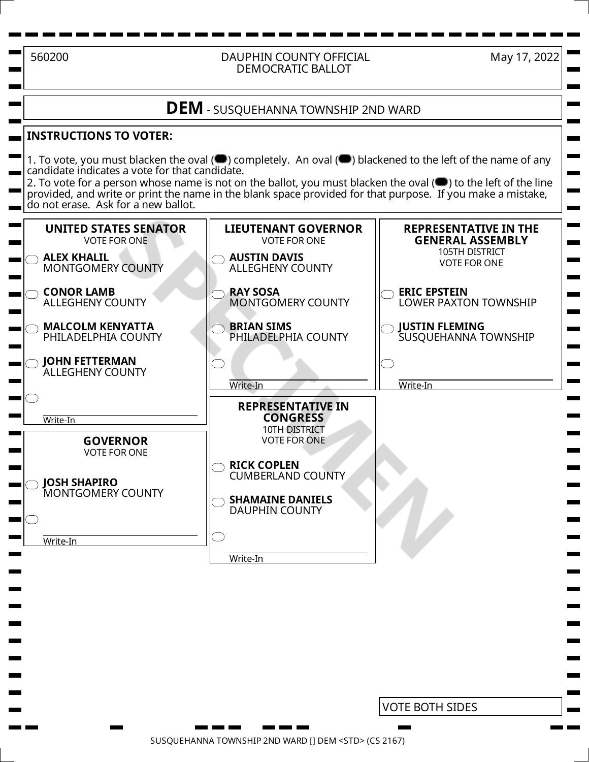## 560200 DAUPHIN COUNTY OFFICIAL DEMOCRATIC BALLOT

May 17, 2022

## **DEM** - SUSQUEHANNA TOWNSHIP 2ND WARD

## **INSTRUCTIONS TO VOTER:**

1. To vote, you must blacken the oval (●) completely. An oval (●) blackened to the left of the name of any candidate indicates a vote for that candidate.

2. To vote for a person whose name is not on the ballot, you must blacken the oval ( $\blacksquare$ ) to the left of the line provided, and write or print the name in the blank space provided for that purpose. If you make a mistake, do not erase. Ask for a new ballot.



VOTE BOTH SIDES